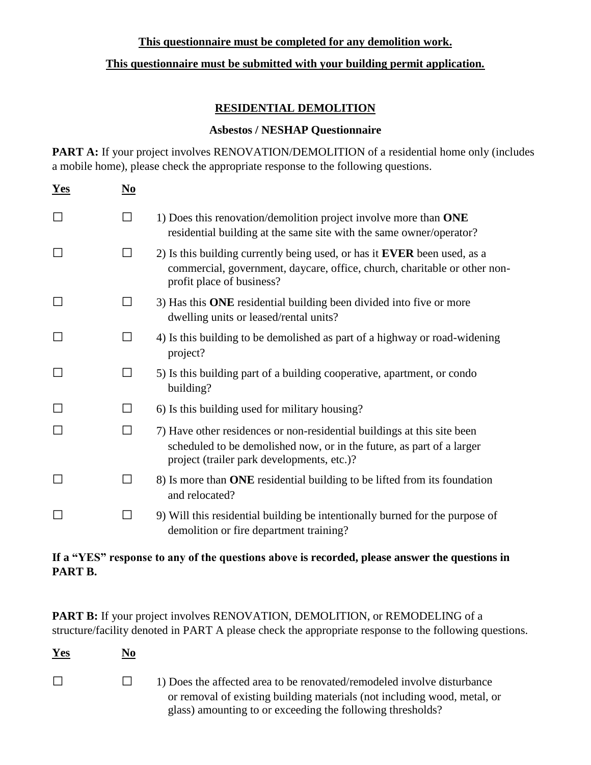## **This questionnaire must be completed for any demolition work.**

## **This questionnaire must be submitted with your building permit application.**

## **RESIDENTIAL DEMOLITION**

#### **Asbestos / NESHAP Questionnaire**

**PART A:** If your project involves RENOVATION/DEMOLITION of a residential home only (includes a mobile home), please check the appropriate response to the following questions.

| $Yes$ | $\mathbf{N}\mathbf{0}$ |                                                                                                                                                                                                |
|-------|------------------------|------------------------------------------------------------------------------------------------------------------------------------------------------------------------------------------------|
|       | $\Box$                 | 1) Does this renovation/demolition project involve more than ONE<br>residential building at the same site with the same owner/operator?                                                        |
|       | П                      | 2) Is this building currently being used, or has it <b>EVER</b> been used, as a<br>commercial, government, daycare, office, church, charitable or other non-<br>profit place of business?      |
|       | $\perp$                | 3) Has this ONE residential building been divided into five or more<br>dwelling units or leased/rental units?                                                                                  |
|       | $\Box$                 | 4) Is this building to be demolished as part of a highway or road-widening<br>project?                                                                                                         |
|       | $\mathsf{L}$           | 5) Is this building part of a building cooperative, apartment, or condo<br>building?                                                                                                           |
|       | $\Box$                 | 6) Is this building used for military housing?                                                                                                                                                 |
|       | П                      | 7) Have other residences or non-residential buildings at this site been<br>scheduled to be demolished now, or in the future, as part of a larger<br>project (trailer park developments, etc.)? |
|       | $\Box$                 | 8) Is more than ONE residential building to be lifted from its foundation<br>and relocated?                                                                                                    |
|       | $\Box$                 | 9) Will this residential building be intentionally burned for the purpose of<br>demolition or fire department training?                                                                        |

# **If a "YES" response to any of the questions above is recorded, please answer the questions in PART B.**

PART B: If your project involves RENOVATION, DEMOLITION, or REMODELING of a structure/facility denoted in PART A please check the appropriate response to the following questions.

| Yes    | <u>No</u> |                                                                                                                                                                                                                   |
|--------|-----------|-------------------------------------------------------------------------------------------------------------------------------------------------------------------------------------------------------------------|
| $\Box$ |           | 1) Does the affected area to be renovated/remodeled involve disturbance<br>or removal of existing building materials (not including wood, metal, or<br>glass) amounting to or exceeding the following thresholds? |